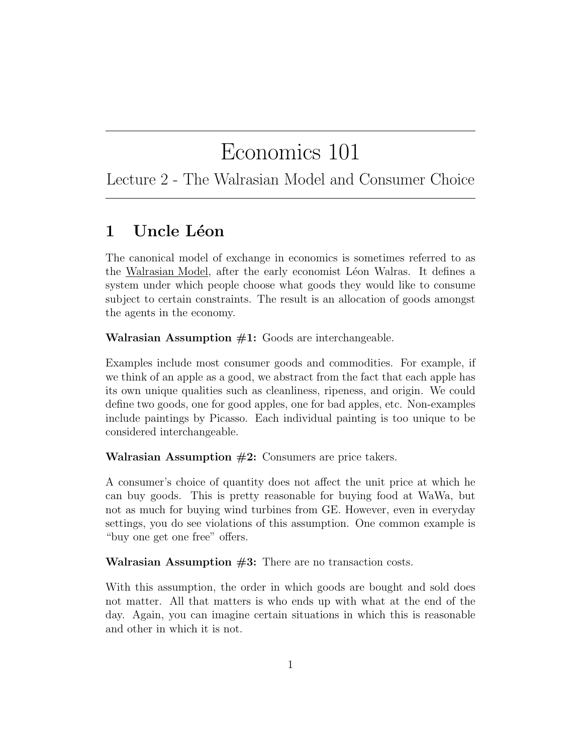# Economics 101

Lecture 2 - The Walrasian Model and Consumer Choice

# 1 Uncle Léon

The canonical model of exchange in economics is sometimes referred to as the Walrasian Model, after the early economist Léon Walras. It defines a system under which people choose what goods they would like to consume subject to certain constraints. The result is an allocation of goods amongst the agents in the economy.

**Walrasian Assumption**  $#1$ **:** Goods are interchangeable.

Examples include most consumer goods and commodities. For example, if we think of an apple as a good, we abstract from the fact that each apple has its own unique qualities such as cleanliness, ripeness, and origin. We could define two goods, one for good apples, one for bad apples, etc. Non-examples include paintings by Picasso. Each individual painting is too unique to be considered interchangeable.

Walrasian Assumption  $#2$ : Consumers are price takers.

A consumer's choice of quantity does not affect the unit price at which he can buy goods. This is pretty reasonable for buying food at WaWa, but not as much for buying wind turbines from GE. However, even in everyday settings, you do see violations of this assumption. One common example is "buy one get one free" offers.

Walrasian Assumption  $#3$ : There are no transaction costs.

With this assumption, the order in which goods are bought and sold does not matter. All that matters is who ends up with what at the end of the day. Again, you can imagine certain situations in which this is reasonable and other in which it is not.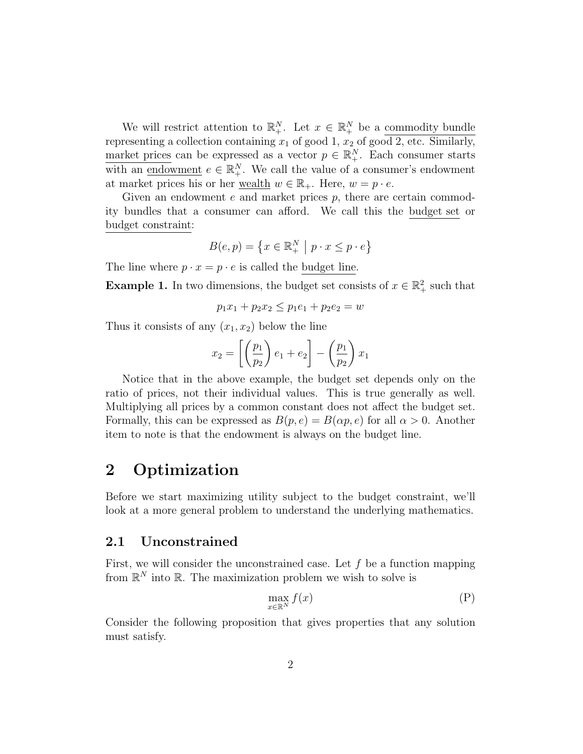We will restrict attention to  $\mathbb{R}^N_+$ . Let  $x \in \mathbb{R}^N_+$  be a commodity bundle representing a collection containing  $x_1$  of good 1,  $x_2$  of good 2, etc. Similarly, market prices can be expressed as a vector  $p \in \mathbb{R}^N_+$ . Each consumer starts with an <u>endowment</u>  $e \in \mathbb{R}^N_+$ . We call the value of a consumer's endowment at market prices his or her <u>wealth</u>  $w \in \mathbb{R}_+$ . Here,  $w = p \cdot e$ .

Given an endowment  $e$  and market prices  $p$ , there are certain commodity bundles that a consumer can afford. We call this the budget set or budget constraint:

$$
B(e, p) = \left\{ x \in \mathbb{R}_+^N \mid p \cdot x \le p \cdot e \right\}
$$

The line where  $p \cdot x = p \cdot e$  is called the budget line.

**Example 1.** In two dimensions, the budget set consists of  $x \in \mathbb{R}^2_+$  such that

$$
p_1x_1 + p_2x_2 \le p_1e_1 + p_2e_2 = w
$$

Thus it consists of any  $(x_1, x_2)$  below the line

$$
x_2 = \left[ \left( \frac{p_1}{p_2} \right) e_1 + e_2 \right] - \left( \frac{p_1}{p_2} \right) x_1
$$

Notice that in the above example, the budget set depends only on the ratio of prices, not their individual values. This is true generally as well. Multiplying all prices by a common constant does not affect the budget set. Formally, this can be expressed as  $B(p, e) = B(\alpha p, e)$  for all  $\alpha > 0$ . Another item to note is that the endowment is always on the budget line.

### 2 Optimization

Before we start maximizing utility subject to the budget constraint, we'll look at a more general problem to understand the underlying mathematics.

#### 2.1 Unconstrained

First, we will consider the unconstrained case. Let  $f$  be a function mapping from  $\mathbb{R}^N$  into  $\mathbb{R}$ . The maximization problem we wish to solve is

$$
\max_{x \in \mathbb{R}^N} f(x) \tag{P}
$$

Consider the following proposition that gives properties that any solution must satisfy.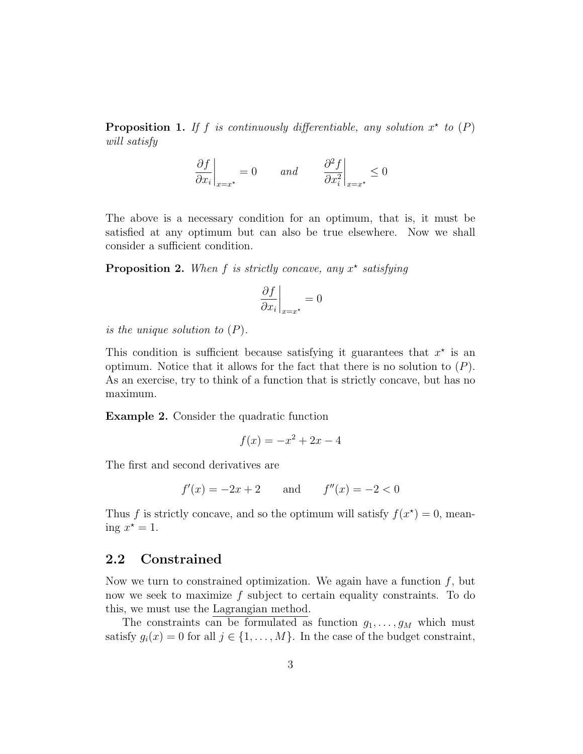**Proposition 1.** If f is continuously differentiable, any solution  $x^*$  to  $(P)$ will satisfy

$$
\left. \frac{\partial f}{\partial x_i} \right|_{x=x^*} = 0 \qquad and \qquad \left. \frac{\partial^2 f}{\partial x_i^2} \right|_{x=x^*} \le 0
$$

The above is a necessary condition for an optimum, that is, it must be satisfied at any optimum but can also be true elsewhere. Now we shall consider a sufficient condition.

**Proposition 2.** When  $f$  is strictly concave, any  $x^*$  satisfying

$$
\left. \frac{\partial f}{\partial x_i} \right|_{x = x^*} = 0
$$

is the unique solution to  $(P)$ .

This condition is sufficient because satisfying it guarantees that  $x^*$  is an optimum. Notice that it allows for the fact that there is no solution to  $(P)$ . As an exercise, try to think of a function that is strictly concave, but has no maximum.

Example 2. Consider the quadratic function

$$
f(x) = -x^2 + 2x - 4
$$

The first and second derivatives are

$$
f'(x) = -2x + 2
$$
 and  $f''(x) = -2 < 0$ 

Thus f is strictly concave, and so the optimum will satisfy  $f(x^*) = 0$ , meaning  $x^* = 1$ .

#### 2.2 Constrained

Now we turn to constrained optimization. We again have a function  $f$ , but now we seek to maximize f subject to certain equality constraints. To do this, we must use the Lagrangian method.

The constraints can be formulated as function  $g_1, \ldots, g_M$  which must satisfy  $g_i(x) = 0$  for all  $j \in \{1, ..., M\}$ . In the case of the budget constraint,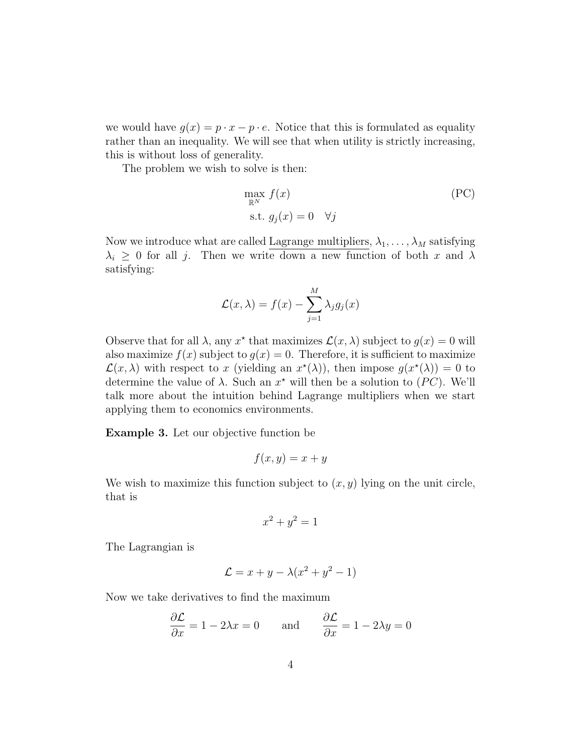we would have  $g(x) = p \cdot x - p \cdot e$ . Notice that this is formulated as equality rather than an inequality. We will see that when utility is strictly increasing, this is without loss of generality.

The problem we wish to solve is then:

$$
\max_{\mathbb{R}^N} f(x)
$$
\n
$$
\text{s.t. } g_j(x) = 0 \quad \forall j
$$
\n(PC)

Now we introduce what are called Lagrange multipliers,  $\lambda_1, \ldots, \lambda_M$  satisfying  $\lambda_i \geq 0$  for all j. Then we write down a new function of both x and  $\lambda$ satisfying:

$$
\mathcal{L}(x,\lambda) = f(x) - \sum_{j=1}^{M} \lambda_j g_j(x)
$$

Observe that for all  $\lambda$ , any  $x^*$  that maximizes  $\mathcal{L}(x, \lambda)$  subject to  $g(x) = 0$  will also maximize  $f(x)$  subject to  $g(x) = 0$ . Therefore, it is sufficient to maximize  $\mathcal{L}(x,\lambda)$  with respect to x (yielding an  $x^{\star}(\lambda)$ ), then impose  $g(x^{\star}(\lambda)) = 0$  to determine the value of  $\lambda$ . Such an  $x^*$  will then be a solution to  $(PC)$ . We'll talk more about the intuition behind Lagrange multipliers when we start applying them to economics environments.

Example 3. Let our objective function be

$$
f(x,y) = x + y
$$

We wish to maximize this function subject to  $(x, y)$  lying on the unit circle, that is

$$
x^2 + y^2 = 1
$$

The Lagrangian is

$$
\mathcal{L} = x + y - \lambda(x^2 + y^2 - 1)
$$

Now we take derivatives to find the maximum

$$
\frac{\partial \mathcal{L}}{\partial x} = 1 - 2\lambda x = 0 \quad \text{and} \quad \frac{\partial \mathcal{L}}{\partial x} = 1 - 2\lambda y = 0
$$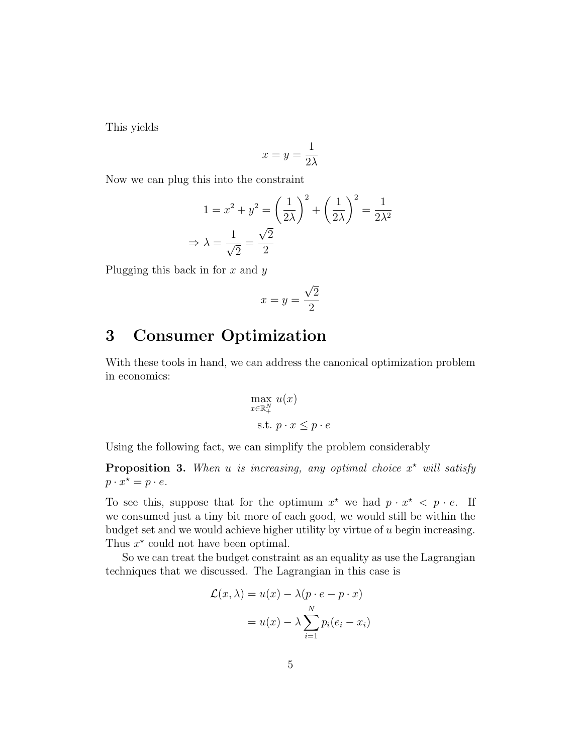This yields

$$
x = y = \frac{1}{2\lambda}
$$

Now we can plug this into the constraint

$$
1 = x^2 + y^2 = \left(\frac{1}{2\lambda}\right)^2 + \left(\frac{1}{2\lambda}\right)^2 = \frac{1}{2\lambda^2}
$$

$$
\Rightarrow \lambda = \frac{1}{\sqrt{2}} = \frac{\sqrt{2}}{2}
$$

Plugging this back in for  $x$  and  $y$ 

$$
x = y = \frac{\sqrt{2}}{2}
$$

### 3 Consumer Optimization

With these tools in hand, we can address the canonical optimization problem in economics:

$$
\max_{x \in \mathbb{R}^N_+} u(x)
$$
  
s.t.  $p \cdot x \leq p \cdot e$ 

Using the following fact, we can simplify the problem considerably

**Proposition 3.** When u is increasing, any optimal choice  $x^*$  will satisfy  $p \cdot x^* = p \cdot e.$ 

To see this, suppose that for the optimum  $x^*$  we had  $p \cdot x^* < p \cdot e$ . If we consumed just a tiny bit more of each good, we would still be within the budget set and we would achieve higher utility by virtue of  $u$  begin increasing. Thus  $x^*$  could not have been optimal.

So we can treat the budget constraint as an equality as use the Lagrangian techniques that we discussed. The Lagrangian in this case is

$$
\mathcal{L}(x,\lambda) = u(x) - \lambda (p \cdot e - p \cdot x)
$$

$$
= u(x) - \lambda \sum_{i=1}^{N} p_i (e_i - x_i)
$$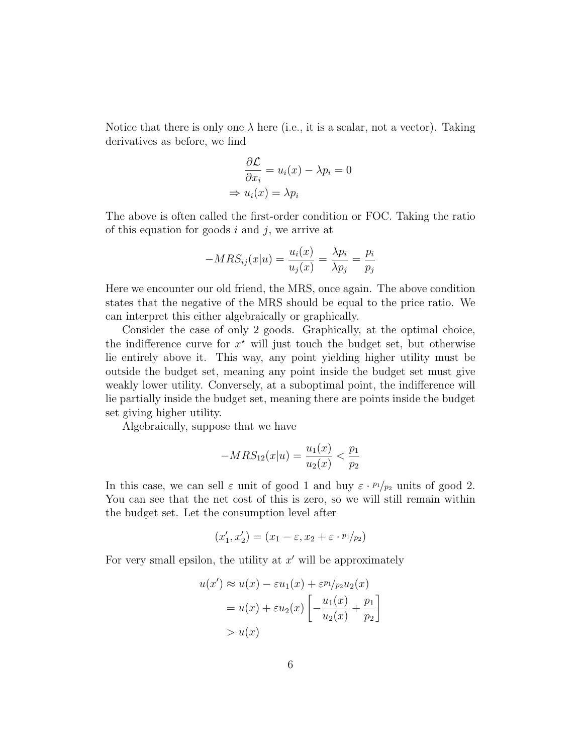Notice that there is only one  $\lambda$  here (i.e., it is a scalar, not a vector). Taking derivatives as before, we find

$$
\frac{\partial \mathcal{L}}{\partial x_i} = u_i(x) - \lambda p_i = 0
$$

$$
\Rightarrow u_i(x) = \lambda p_i
$$

The above is often called the first-order condition or FOC. Taking the ratio of this equation for goods  $i$  and  $j$ , we arrive at

$$
-MRS_{ij}(x|u) = \frac{u_i(x)}{u_j(x)} = \frac{\lambda p_i}{\lambda p_j} = \frac{p_i}{p_j}
$$

Here we encounter our old friend, the MRS, once again. The above condition states that the negative of the MRS should be equal to the price ratio. We can interpret this either algebraically or graphically.

Consider the case of only 2 goods. Graphically, at the optimal choice, the indifference curve for  $x^*$  will just touch the budget set, but otherwise lie entirely above it. This way, any point yielding higher utility must be outside the budget set, meaning any point inside the budget set must give weakly lower utility. Conversely, at a suboptimal point, the indifference will lie partially inside the budget set, meaning there are points inside the budget set giving higher utility.

Algebraically, suppose that we have

$$
-MRS_{12}(x|u) = \frac{u_1(x)}{u_2(x)} < \frac{p_1}{p_2}
$$

In this case, we can sell  $\varepsilon$  unit of good 1 and buy  $\varepsilon \cdot p_1/p_2$  units of good 2. You can see that the net cost of this is zero, so we will still remain within the budget set. Let the consumption level after

$$
(x'_1, x'_2) = (x_1 - \varepsilon, x_2 + \varepsilon \cdot \frac{p_1}{p_2})
$$

For very small epsilon, the utility at  $x'$  will be approximately

$$
u(x') \approx u(x) - \varepsilon u_1(x) + \varepsilon^{p_1}/p_2 u_2(x)
$$
  
=  $u(x) + \varepsilon u_2(x) \left[ -\frac{u_1(x)}{u_2(x)} + \frac{p_1}{p_2} \right]$   
>  $u(x)$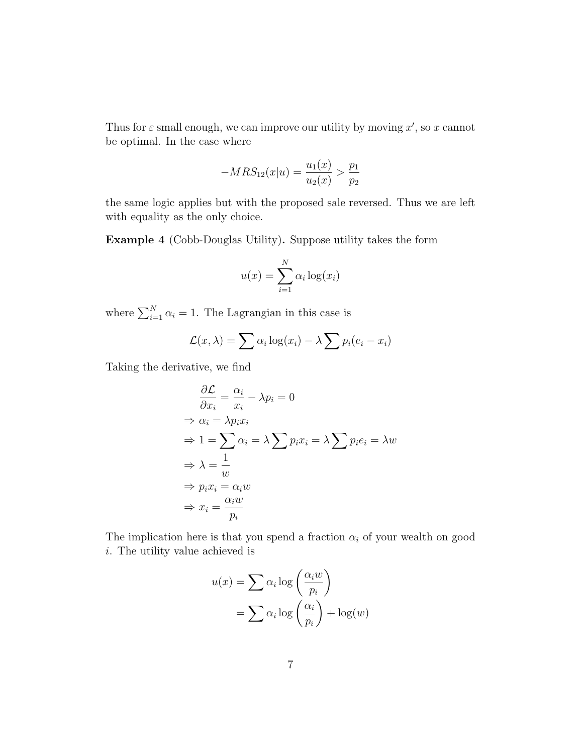Thus for  $\varepsilon$  small enough, we can improve our utility by moving  $x'$ , so x cannot be optimal. In the case where

$$
-MRS_{12}(x|u) = \frac{u_1(x)}{u_2(x)} > \frac{p_1}{p_2}
$$

the same logic applies but with the proposed sale reversed. Thus we are left with equality as the only choice.

Example 4 (Cobb-Douglas Utility). Suppose utility takes the form

$$
u(x) = \sum_{i=1}^{N} \alpha_i \log(x_i)
$$

where  $\sum_{i=1}^{N} \alpha_i = 1$ . The Lagrangian in this case is

$$
\mathcal{L}(x,\lambda) = \sum \alpha_i \log(x_i) - \lambda \sum p_i (e_i - x_i)
$$

Taking the derivative, we find

$$
\frac{\partial \mathcal{L}}{\partial x_i} = \frac{\alpha_i}{x_i} - \lambda p_i = 0
$$
  
\n
$$
\Rightarrow \alpha_i = \lambda p_i x_i
$$
  
\n
$$
\Rightarrow 1 = \sum_{i} \alpha_i = \lambda \sum_{i} p_i x_i = \lambda \sum_{i} p_i e_i = \lambda w
$$
  
\n
$$
\Rightarrow \lambda = \frac{1}{w}
$$
  
\n
$$
\Rightarrow p_i x_i = \alpha_i w
$$
  
\n
$$
\Rightarrow x_i = \frac{\alpha_i w}{p_i}
$$

The implication here is that you spend a fraction  $\alpha_i$  of your wealth on good i. The utility value achieved is

$$
u(x) = \sum \alpha_i \log \left(\frac{\alpha_i w}{p_i}\right)
$$

$$
= \sum \alpha_i \log \left(\frac{\alpha_i}{p_i}\right) + \log(w)
$$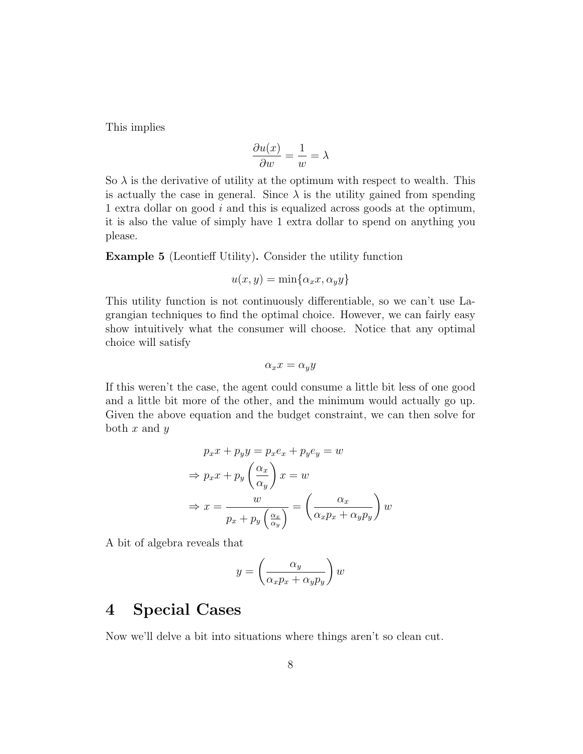This implies

$$
\frac{\partial u(x)}{\partial w} = \frac{1}{w} = \lambda
$$

So  $\lambda$  is the derivative of utility at the optimum with respect to wealth. This is actually the case in general. Since  $\lambda$  is the utility gained from spending 1 extra dollar on good i and this is equalized across goods at the optimum, it is also the value of simply have 1 extra dollar to spend on anything you please.

Example 5 (Leontieff Utility). Consider the utility function

$$
u(x,y) = \min\{\alpha_x x, \alpha_y y\}
$$

This utility function is not continuously differentiable, so we can't use Lagrangian techniques to find the optimal choice. However, we can fairly easy show intuitively what the consumer will choose. Notice that any optimal choice will satisfy

$$
\alpha_x x = \alpha_y y
$$

If this weren't the case, the agent could consume a little bit less of one good and a little bit more of the other, and the minimum would actually go up. Given the above equation and the budget constraint, we can then solve for both  $x$  and  $y$ 

$$
p_x x + p_y y = p_x e_x + p_y e_y = w
$$
  
\n
$$
\Rightarrow p_x x + p_y \left(\frac{\alpha_x}{\alpha_y}\right) x = w
$$
  
\n
$$
\Rightarrow x = \frac{w}{p_x + p_y \left(\frac{\alpha_x}{\alpha_y}\right)} = \left(\frac{\alpha_x}{\alpha_x p_x + \alpha_y p_y}\right) w
$$

A bit of algebra reveals that

$$
y = \left(\frac{\alpha_y}{\alpha_x p_x + \alpha_y p_y}\right) w
$$

### 4 Special Cases

Now we'll delve a bit into situations where things aren't so clean cut.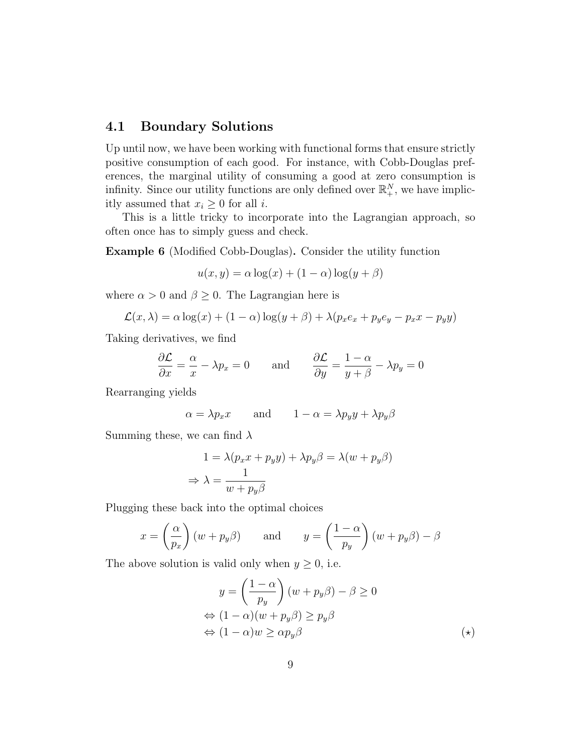### 4.1 Boundary Solutions

Up until now, we have been working with functional forms that ensure strictly positive consumption of each good. For instance, with Cobb-Douglas preferences, the marginal utility of consuming a good at zero consumption is infinity. Since our utility functions are only defined over  $\mathbb{R}^N_+$ , we have implicitly assumed that  $x_i \geq 0$  for all *i*.

This is a little tricky to incorporate into the Lagrangian approach, so often once has to simply guess and check.

Example 6 (Modified Cobb-Douglas). Consider the utility function

$$
u(x, y) = \alpha \log(x) + (1 - \alpha) \log(y + \beta)
$$

where  $\alpha > 0$  and  $\beta \geq 0$ . The Lagrangian here is

$$
\mathcal{L}(x,\lambda) = \alpha \log(x) + (1-\alpha) \log(y+\beta) + \lambda (p_x e_x + p_y e_y - p_x x - p_y y)
$$

Taking derivatives, we find

$$
\frac{\partial \mathcal{L}}{\partial x} = \frac{\alpha}{x} - \lambda p_x = 0 \quad \text{and} \quad \frac{\partial \mathcal{L}}{\partial y} = \frac{1 - \alpha}{y + \beta} - \lambda p_y = 0
$$

Rearranging yields

$$
\alpha = \lambda p_x x \qquad \text{and} \qquad 1 - \alpha = \lambda p_y y + \lambda p_y \beta
$$

Summing these, we can find  $\lambda$ 

$$
1 = \lambda (p_x x + p_y y) + \lambda p_y \beta = \lambda (w + p_y \beta)
$$

$$
\Rightarrow \lambda = \frac{1}{w + p_y \beta}
$$

Plugging these back into the optimal choices

$$
x = \left(\frac{\alpha}{p_x}\right)(w + p_y \beta)
$$
 and  $y = \left(\frac{1 - \alpha}{p_y}\right)(w + p_y \beta) - \beta$ 

The above solution is valid only when  $y \geq 0$ , i.e.

$$
y = \left(\frac{1-\alpha}{p_y}\right)(w + p_y \beta) - \beta \ge 0
$$
  
\n
$$
\Leftrightarrow (1-\alpha)(w + p_y \beta) \ge p_y \beta
$$
  
\n
$$
\Leftrightarrow (1-\alpha)w \ge \alpha p_y \beta
$$
 (\*)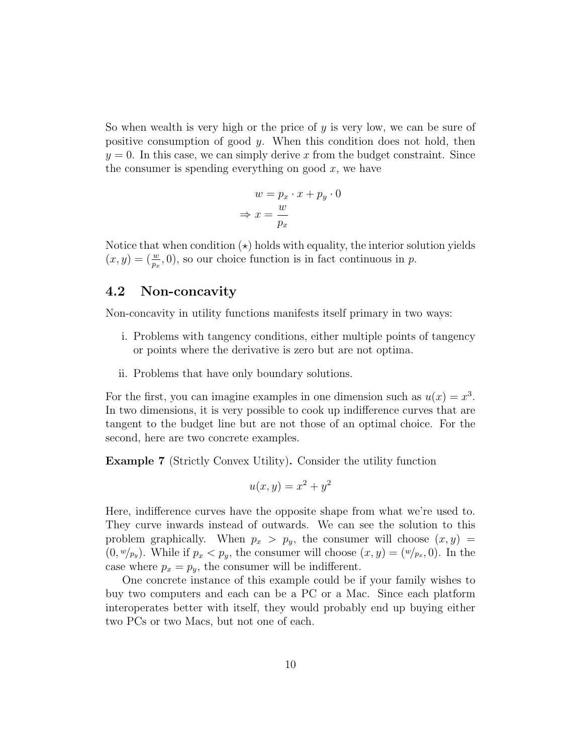So when wealth is very high or the price of  $y$  is very low, we can be sure of positive consumption of good  $y$ . When this condition does not hold, then  $y = 0$ . In this case, we can simply derive x from the budget constraint. Since the consumer is spending everything on good  $x$ , we have

$$
w = p_x \cdot x + p_y \cdot 0
$$

$$
\Rightarrow x = \frac{w}{p_x}
$$

Notice that when condition  $(\star)$  holds with equality, the interior solution yields  $(x, y) = \left(\frac{w}{px}, 0\right)$ , so our choice function is in fact continuous in p.

#### 4.2 Non-concavity

Non-concavity in utility functions manifests itself primary in two ways:

- i. Problems with tangency conditions, either multiple points of tangency or points where the derivative is zero but are not optima.
- ii. Problems that have only boundary solutions.

For the first, you can imagine examples in one dimension such as  $u(x) = x^3$ . In two dimensions, it is very possible to cook up indifference curves that are tangent to the budget line but are not those of an optimal choice. For the second, here are two concrete examples.

Example 7 (Strictly Convex Utility). Consider the utility function

$$
u(x,y) = x^2 + y^2
$$

Here, indifference curves have the opposite shape from what we're used to. They curve inwards instead of outwards. We can see the solution to this problem graphically. When  $p_x > p_y$ , the consumer will choose  $(x, y)$  $(0, w/p_y)$ . While if  $p_x < p_y$ , the consumer will choose  $(x, y) = (w/p_x, 0)$ . In the case where  $p_x = p_y$ , the consumer will be indifferent.

One concrete instance of this example could be if your family wishes to buy two computers and each can be a PC or a Mac. Since each platform interoperates better with itself, they would probably end up buying either two PCs or two Macs, but not one of each.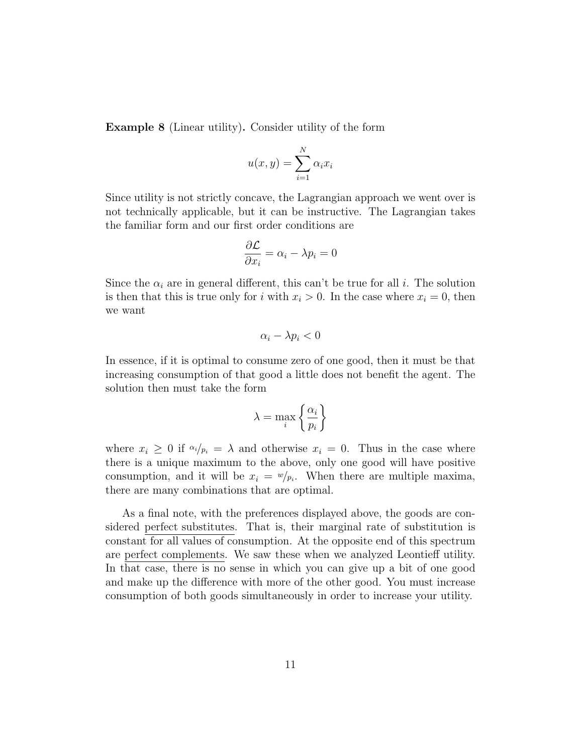Example 8 (Linear utility). Consider utility of the form

$$
u(x,y) = \sum_{i=1}^{N} \alpha_i x_i
$$

Since utility is not strictly concave, the Lagrangian approach we went over is not technically applicable, but it can be instructive. The Lagrangian takes the familiar form and our first order conditions are

$$
\frac{\partial \mathcal{L}}{\partial x_i} = \alpha_i - \lambda p_i = 0
$$

Since the  $\alpha_i$  are in general different, this can't be true for all i. The solution is then that this is true only for i with  $x_i > 0$ . In the case where  $x_i = 0$ , then we want

$$
\alpha_i - \lambda p_i < 0
$$

In essence, if it is optimal to consume zero of one good, then it must be that increasing consumption of that good a little does not benefit the agent. The solution then must take the form

$$
\lambda = \max_{i} \left\{ \frac{\alpha_i}{p_i} \right\}
$$

where  $x_i \geq 0$  if  $\alpha_i / p_i = \lambda$  and otherwise  $x_i = 0$ . Thus in the case where there is a unique maximum to the above, only one good will have positive consumption, and it will be  $x_i = w/p_i$ . When there are multiple maxima, there are many combinations that are optimal.

As a final note, with the preferences displayed above, the goods are considered perfect substitutes. That is, their marginal rate of substitution is constant for all values of consumption. At the opposite end of this spectrum are perfect complements. We saw these when we analyzed Leontieff utility. In that case, there is no sense in which you can give up a bit of one good and make up the difference with more of the other good. You must increase consumption of both goods simultaneously in order to increase your utility.